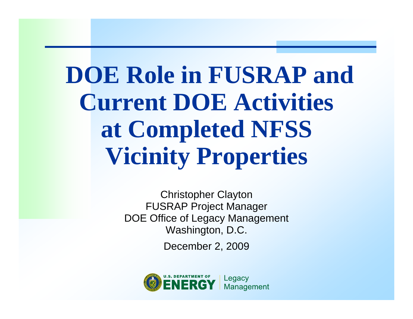**DOE Role in FUSRAP and Current DOE Activities at Completed NFSS Vicinity Properties** 

> Christopher Clayton FUSRAP Project Manager DOE Office of Legacy Management Washington, D.C.

> > December 2, 2009

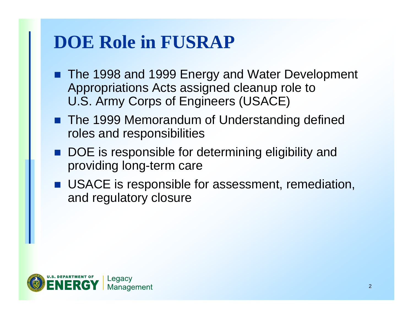### **DOE Role in FUSRAP**

- The 1998 and 1999 Energy and Water Development Appropriations Acts assigned cleanup role to U.S. Army Corps of Engineers (USACE)
- The 1999 Memorandum of Understanding defined roles and responsibilities
- DOE is responsible for determining eligibility and providing long-term care
- **USACE** is responsible for assessment, remediation, and regulatory closure

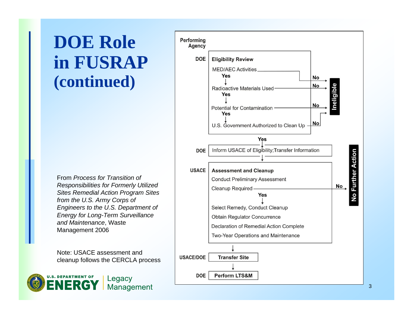#### **DOE Role in FUSRAP (continued)**

From *Process for Transition of Responsibilities for Formerly Utilized Sites Remedial Action Program Sites from the U.S. Army Corps of Engineers to the U.S. Department of Energy for Long-Term Surveillance and Maintenance*, Waste Management 2006

Note: USACE assessment and cleanup follows the CERCLA process



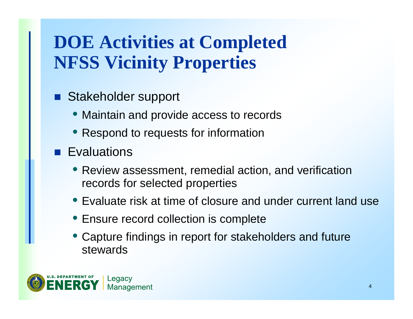# **DOE Activities at Completed NFSS Vicinity Properties**

- **Service Service**  Stakeholder support
	- Maintain and provide access to records
	- Respond to requests for information
- **Exaluations** 
	- Review assessment, remedial action, and verification records for selected properties
	- Evaluate risk at time of closure and under current land use
	- Ensure record collection is complete
	- Capture findings in report for stakeholders and future stewards

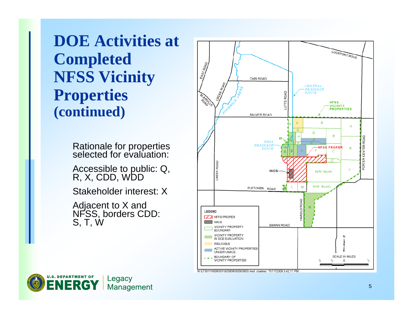**DOE Activities at Completed NFSS Vicinity Properties (continued)**

Rationale for properties<br>selected for evaluation:

Accessible to public: Q, R, X, CDD, WDD

Stakeholder interest: X

Adjacent to X and<br>NFSS, borders CDD: S, T, W



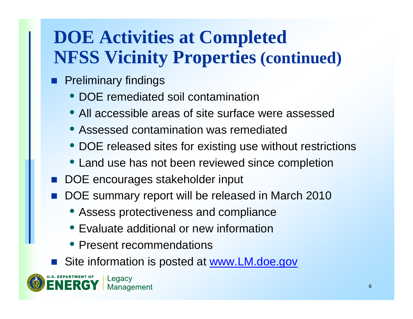# **DOE Activities at Completed NFSS Vicinity Properties (continued)**

- п Preliminary findings
	- DOE remediated soil contamination
	- All accessible areas of site surface were assessed
	- Assessed contamination was remediated
	- DOE released sites for existing use without restrictions
	- Land use has not been reviewed since completion
- F. DOE encourages stakeholder input
- F. DOE summary report will be released in March 2010
	- Assess protectiveness and compliance
	- Evaluate additional or new information
	- Present recommendations
- Site information is posted at www.LM.doe.gov